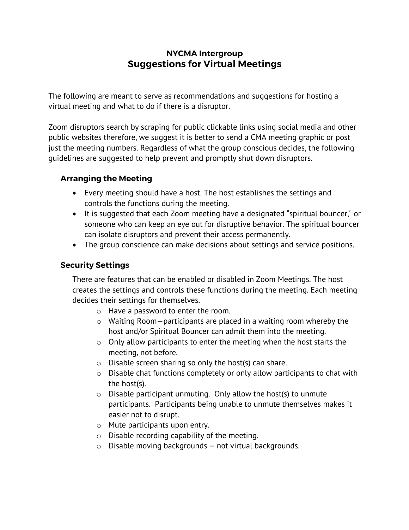# **NYCMA Intergroup Suggestions for Virtual Meetings**

The following are meant to serve as recommendations and suggestions for hosting a virtual meeting and what to do if there is a disruptor.

Zoom disruptors search by scraping for public clickable links using social media and other public websites therefore, we suggest it is better to send a CMA meeting graphic or post just the meeting numbers. Regardless of what the group conscious decides, the following guidelines are suggested to help prevent and promptly shut down disruptors.

### **Arranging the Meeting**

- Every meeting should have a host. The host establishes the settings and controls the functions during the meeting.
- It is suggested that each Zoom meeting have a designated "spiritual bouncer," or someone who can keep an eye out for disruptive behavior. The spiritual bouncer can isolate disruptors and prevent their access permanently.
- The group conscience can make decisions about settings and service positions.

#### **Security Settings**

There are features that can be enabled or disabled in Zoom Meetings. The host creates the settings and controls these functions during the meeting. Each meeting decides their settings for themselves.

- o Have a password to enter the room.
- o Waiting Room—participants are placed in a waiting room whereby the host and/or Spiritual Bouncer can admit them into the meeting.
- o Only allow participants to enter the meeting when the host starts the meeting, not before.
- o Disable screen sharing so only the host(s) can share.
- o Disable chat functions completely or only allow participants to chat with the host(s).
- $\circ$  Disable participant unmuting. Only allow the host(s) to unmute participants. Participants being unable to unmute themselves makes it easier not to disrupt.
- o Mute participants upon entry.
- o Disable recording capability of the meeting.
- o Disable moving backgrounds not virtual backgrounds.